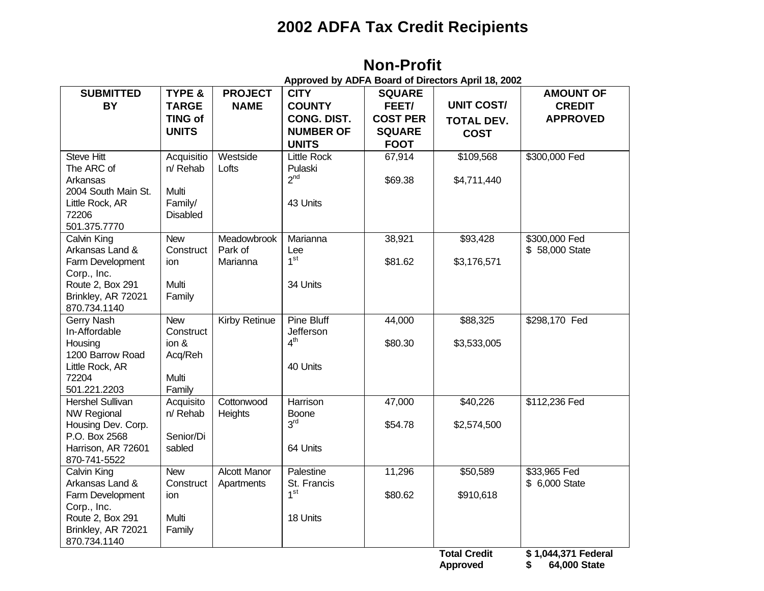# **2002 ADFA Tax Credit Recipients**

**Non-Profit**

| <b>SUBMITTED</b>            | TYPE &          | <b>PROJECT</b>       | <b>CITY</b>                  | <b>SQUARE</b>   |                     | <b>AMOUNT OF</b>    |
|-----------------------------|-----------------|----------------------|------------------------------|-----------------|---------------------|---------------------|
| <b>BY</b>                   | <b>TARGE</b>    | <b>NAME</b>          | <b>COUNTY</b>                | FEET/           | <b>UNIT COST/</b>   | <b>CREDIT</b>       |
|                             | <b>TING of</b>  |                      | <b>CONG. DIST.</b>           | <b>COST PER</b> | <b>TOTAL DEV.</b>   | <b>APPROVED</b>     |
|                             | <b>UNITS</b>    |                      | <b>NUMBER OF</b>             | <b>SQUARE</b>   | <b>COST</b>         |                     |
|                             |                 |                      | <b>UNITS</b>                 | <b>FOOT</b>     |                     |                     |
| <b>Steve Hitt</b>           | Acquisitio      | Westside             | <b>Little Rock</b>           | 67,914          | \$109,568           | \$300,000 Fed       |
| The ARC of                  | n/ Rehab        | Lofts                | Pulaski                      |                 |                     |                     |
| Arkansas                    |                 |                      | 2 <sup>nd</sup>              | \$69.38         | \$4,711,440         |                     |
| 2004 South Main St.         | Multi           |                      |                              |                 |                     |                     |
| Little Rock, AR             | Family/         |                      | 43 Units                     |                 |                     |                     |
| 72206<br>501.375.7770       | <b>Disabled</b> |                      |                              |                 |                     |                     |
| Calvin King                 | <b>New</b>      | Meadowbrook          | Marianna                     | 38,921          | \$93,428            | \$300,000 Fed       |
| Arkansas Land &             | Construct       | Park of              | Lee                          |                 |                     | \$58,000 State      |
| Farm Development            | ion             | Marianna             | 1 <sup>st</sup>              | \$81.62         | \$3,176,571         |                     |
| Corp., Inc.                 |                 |                      |                              |                 |                     |                     |
| Route 2, Box 291            | Multi           |                      | 34 Units                     |                 |                     |                     |
| Brinkley, AR 72021          | Family          |                      |                              |                 |                     |                     |
| 870.734.1140                |                 |                      |                              |                 |                     |                     |
| Gerry Nash                  | <b>New</b>      | <b>Kirby Retinue</b> | Pine Bluff                   | 44,000          | \$88,325            | \$298,170 Fed       |
| In-Affordable               | Construct       |                      | Jefferson<br>4 <sup>th</sup> |                 |                     |                     |
| Housing<br>1200 Barrow Road | ion &           |                      |                              | \$80.30         | \$3,533,005         |                     |
| Little Rock, AR             | Acq/Reh         |                      | 40 Units                     |                 |                     |                     |
| 72204                       | Multi           |                      |                              |                 |                     |                     |
| 501.221.2203                | Family          |                      |                              |                 |                     |                     |
| <b>Hershel Sullivan</b>     | Acquisito       | Cottonwood           | Harrison                     | 47,000          | \$40,226            | \$112,236 Fed       |
| <b>NW Regional</b>          | n/ Rehab        | Heights              | <b>Boone</b>                 |                 |                     |                     |
| Housing Dev. Corp.          |                 |                      | 3 <sup>rd</sup>              | \$54.78         | \$2,574,500         |                     |
| P.O. Box 2568               | Senior/Di       |                      |                              |                 |                     |                     |
| Harrison, AR 72601          | sabled          |                      | 64 Units                     |                 |                     |                     |
| 870-741-5522<br>Calvin King | <b>New</b>      | <b>Alcott Manor</b>  | Palestine                    | 11,296          | \$50,589            | \$33,965 Fed        |
| Arkansas Land &             | Construct       | Apartments           | St. Francis                  |                 |                     | \$ 6,000 State      |
| Farm Development            | ion             |                      | 1 <sup>st</sup>              | \$80.62         | \$910,618           |                     |
| Corp., Inc.                 |                 |                      |                              |                 |                     |                     |
| Route 2, Box 291            | Multi           |                      | 18 Units                     |                 |                     |                     |
| Brinkley, AR 72021          | Family          |                      |                              |                 |                     |                     |
| 870.734.1140                |                 |                      |                              |                 |                     |                     |
|                             |                 |                      |                              |                 | <b>Total Credit</b> | \$1,044,371 Federal |
|                             |                 |                      |                              |                 | <b>Approved</b>     | 64,000 State<br>\$  |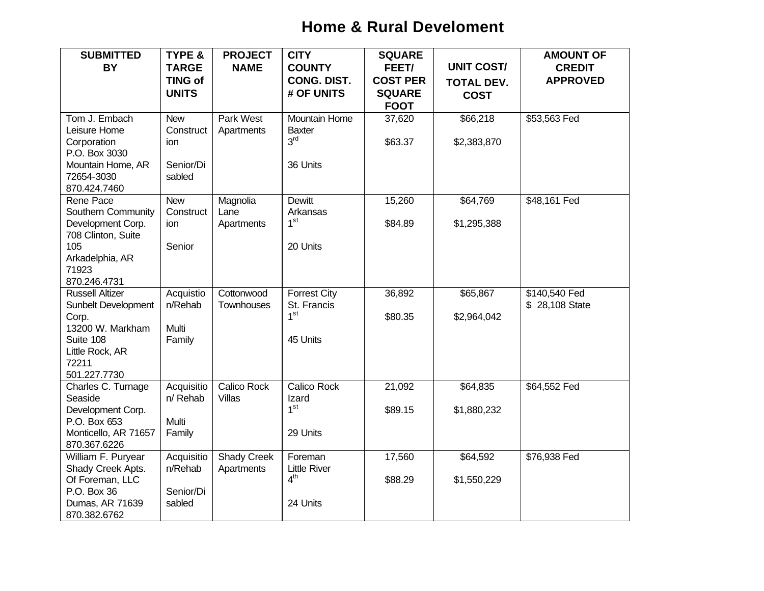# **Home & Rural Develoment**

| <b>SUBMITTED</b>           | <b>TYPE &amp;</b> | <b>PROJECT</b>     | <b>CITY</b>         | <b>SQUARE</b>   |                   | <b>AMOUNT OF</b> |
|----------------------------|-------------------|--------------------|---------------------|-----------------|-------------------|------------------|
| <b>BY</b>                  | <b>TARGE</b>      | <b>NAME</b>        | <b>COUNTY</b>       | FEET/           | <b>UNIT COST/</b> | <b>CREDIT</b>    |
|                            | <b>TING of</b>    |                    | <b>CONG. DIST.</b>  | <b>COST PER</b> | <b>TOTAL DEV.</b> | <b>APPROVED</b>  |
|                            | <b>UNITS</b>      |                    | # OF UNITS          | <b>SQUARE</b>   | <b>COST</b>       |                  |
|                            |                   |                    |                     | <b>FOOT</b>     |                   |                  |
| Tom J. Embach              | <b>New</b>        | Park West          | Mountain Home       | 37,620          | \$66,218          | \$53,563 Fed     |
| Leisure Home               | Construct         | Apartments         | <b>Baxter</b>       |                 |                   |                  |
| Corporation                | ion               |                    | 3 <sup>rd</sup>     | \$63.37         | \$2,383,870       |                  |
| P.O. Box 3030              |                   |                    |                     |                 |                   |                  |
| Mountain Home, AR          | Senior/Di         |                    | 36 Units            |                 |                   |                  |
| 72654-3030<br>870.424.7460 | sabled            |                    |                     |                 |                   |                  |
| Rene Pace                  | <b>New</b>        | Magnolia           | <b>Dewitt</b>       | 15,260          | \$64,769          | \$48,161 Fed     |
| Southern Community         | Construct         | Lane               | Arkansas            |                 |                   |                  |
| Development Corp.          | ion               | Apartments         | 1 <sup>st</sup>     | \$84.89         | \$1,295,388       |                  |
| 708 Clinton, Suite         |                   |                    |                     |                 |                   |                  |
| 105                        | Senior            |                    | 20 Units            |                 |                   |                  |
| Arkadelphia, AR            |                   |                    |                     |                 |                   |                  |
| 71923                      |                   |                    |                     |                 |                   |                  |
| 870.246.4731               |                   |                    |                     |                 |                   |                  |
| <b>Russell Altizer</b>     | Acquistio         | Cottonwood         | <b>Forrest City</b> | 36,892          | \$65,867          | \$140,540 Fed    |
| Sunbelt Development        | n/Rehab           | Townhouses         | St. Francis         |                 |                   | \$28,108 State   |
| Corp.                      |                   |                    | 1 <sup>st</sup>     | \$80.35         | \$2,964,042       |                  |
| 13200 W. Markham           | Multi             |                    |                     |                 |                   |                  |
| Suite 108                  | Family            |                    | 45 Units            |                 |                   |                  |
| Little Rock, AR            |                   |                    |                     |                 |                   |                  |
| 72211<br>501.227.7730      |                   |                    |                     |                 |                   |                  |
| Charles C. Turnage         | Acquisitio        | Calico Rock        | Calico Rock         | 21,092          | \$64,835          | \$64,552 Fed     |
| Seaside                    | n/ Rehab          | <b>Villas</b>      | Izard               |                 |                   |                  |
| Development Corp.          |                   |                    | 1 <sup>st</sup>     | \$89.15         | \$1,880,232       |                  |
| P.O. Box 653               | Multi             |                    |                     |                 |                   |                  |
| Monticello, AR 71657       | Family            |                    | 29 Units            |                 |                   |                  |
| 870.367.6226               |                   |                    |                     |                 |                   |                  |
| William F. Puryear         | Acquisitio        | <b>Shady Creek</b> | Foreman             | 17,560          | \$64,592          | \$76,938 Fed     |
| Shady Creek Apts.          | n/Rehab           | Apartments         | <b>Little River</b> |                 |                   |                  |
| Of Foreman, LLC            |                   |                    | 4 <sup>th</sup>     | \$88.29         | \$1,550,229       |                  |
| P.O. Box 36                | Senior/Di         |                    |                     |                 |                   |                  |
| Dumas, AR 71639            | sabled            |                    | 24 Units            |                 |                   |                  |
| 870.382.6762               |                   |                    |                     |                 |                   |                  |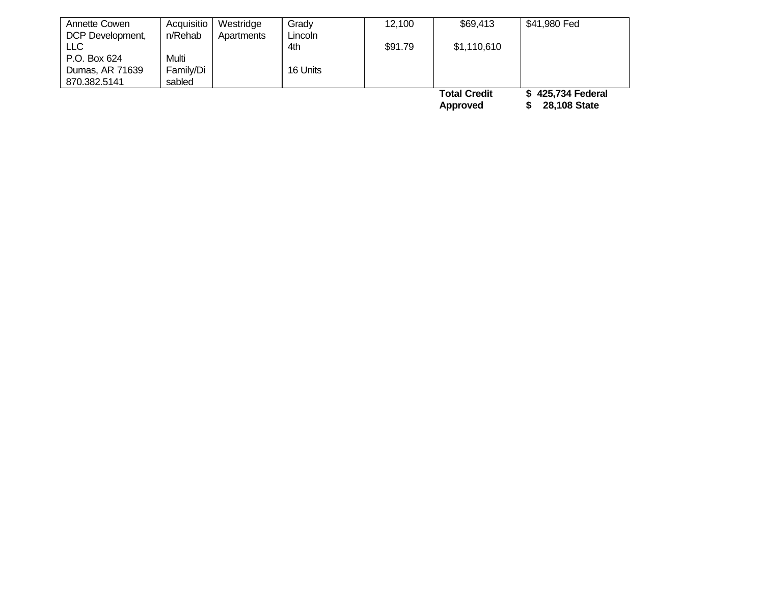| Annette Cowen    | Acquisitio | Westridge  | Grady    | 12,100  | \$69,413            | \$41,980 Fed      |
|------------------|------------|------------|----------|---------|---------------------|-------------------|
| DCP Development, | n/Rehab    | Apartments | Lincoln  |         |                     |                   |
| LLC              |            |            | 4th      | \$91.79 | \$1,110,610         |                   |
| P.O. Box 624     | Multi      |            |          |         |                     |                   |
| Dumas, AR 71639  | Family/Di  |            | 16 Units |         |                     |                   |
| 870.382.5141     | sabled     |            |          |         |                     |                   |
|                  |            |            |          |         | <b>Total Credit</b> | \$425,734 Federal |
|                  |            |            |          |         | Approved            | 28,108 State      |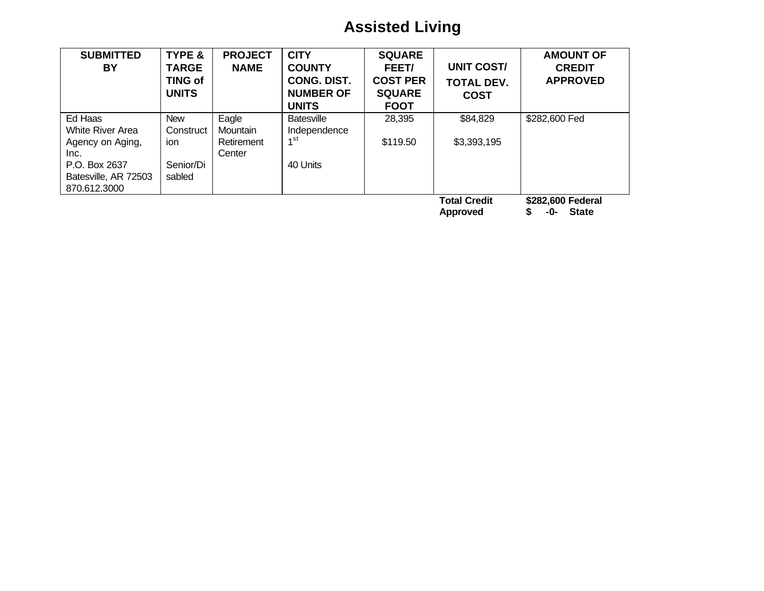# **Assisted Living**

| <b>SUBMITTED</b><br><b>BY</b>                                                                                           | <b>TYPE &amp;</b><br><b>TARGE</b><br><b>TING of</b><br><b>UNITS</b> | <b>PROJECT</b><br><b>NAME</b>             | <b>CITY</b><br><b>COUNTY</b><br><b>CONG. DIST.</b><br><b>NUMBER OF</b><br><b>UNITS</b> | <b>SQUARE</b><br>FEET/<br><b>COST PER</b><br><b>SQUARE</b><br><b>FOOT</b> | <b>UNIT COST/</b><br><b>TOTAL DEV.</b><br><b>COST</b> | <b>AMOUNT OF</b><br><b>CREDIT</b><br><b>APPROVED</b> |
|-------------------------------------------------------------------------------------------------------------------------|---------------------------------------------------------------------|-------------------------------------------|----------------------------------------------------------------------------------------|---------------------------------------------------------------------------|-------------------------------------------------------|------------------------------------------------------|
| Ed Haas<br><b>White River Area</b><br>Agency on Aging,<br>Inc.<br>P.O. Box 2637<br>Batesville, AR 72503<br>870.612.3000 | <b>New</b><br>Construct<br>ion<br>Senior/Di<br>sabled               | Eagle<br>Mountain<br>Retirement<br>Center | <b>Batesville</b><br>Independence<br>1 <sup>st</sup><br>40 Units                       | 28,395<br>\$119.50                                                        | \$84,829<br>\$3,393,195                               | \$282,600 Fed                                        |
|                                                                                                                         |                                                                     |                                           |                                                                                        |                                                                           | <b>Total Credit</b><br><b>Approved</b>                | \$282,600 Federal<br><b>State</b><br>-0-             |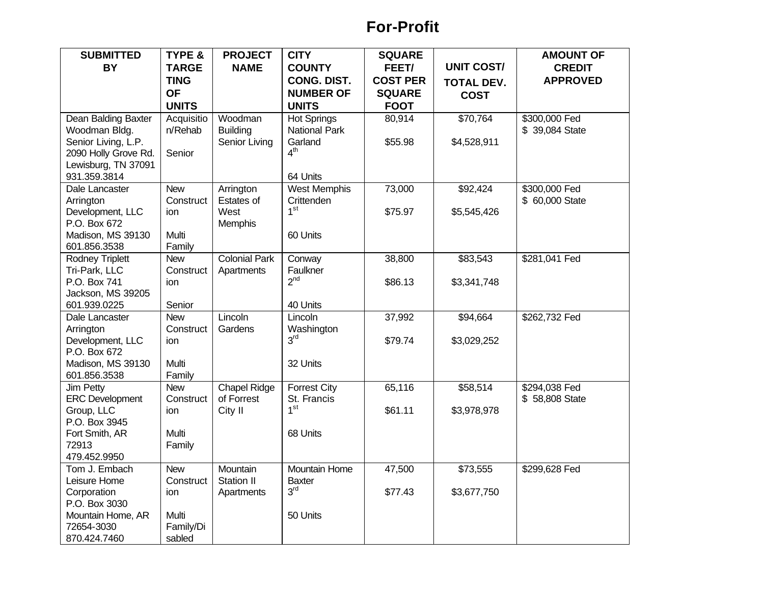## **For-Profit**

| <b>SUBMITTED</b>                  | <b>TYPE &amp;</b> | <b>PROJECT</b>       | <b>CITY</b>                 | <b>SQUARE</b>   |                   | <b>AMOUNT OF</b> |
|-----------------------------------|-------------------|----------------------|-----------------------------|-----------------|-------------------|------------------|
| BY                                | <b>TARGE</b>      | <b>NAME</b>          | <b>COUNTY</b>               | FEET/           | <b>UNIT COST/</b> | <b>CREDIT</b>    |
|                                   | <b>TING</b>       |                      | <b>CONG. DIST.</b>          | <b>COST PER</b> | <b>TOTAL DEV.</b> | <b>APPROVED</b>  |
|                                   | <b>OF</b>         |                      | <b>NUMBER OF</b>            | <b>SQUARE</b>   | <b>COST</b>       |                  |
|                                   | <b>UNITS</b>      |                      | <b>UNITS</b>                | <b>FOOT</b>     |                   |                  |
| Dean Balding Baxter               | Acquisitio        | Woodman              | <b>Hot Springs</b>          | 80,914          | \$70,764          | \$300,000 Fed    |
| Woodman Bldg.                     | n/Rehab           | <b>Building</b>      | <b>National Park</b>        |                 |                   | \$ 39,084 State  |
| Senior Living, L.P.               |                   | Senior Living        | Garland                     | \$55.98         | \$4,528,911       |                  |
| 2090 Holly Grove Rd.              | Senior            |                      | 4 <sup>th</sup>             |                 |                   |                  |
| Lewisburg, TN 37091               |                   |                      |                             |                 |                   |                  |
| 931.359.3814                      |                   |                      | 64 Units                    |                 |                   |                  |
| Dale Lancaster                    | <b>New</b>        | Arrington            | <b>West Memphis</b>         | 73,000          | \$92,424          | \$300,000 Fed    |
| Arrington                         | Construct         | Estates of           | Crittenden                  |                 |                   | \$ 60,000 State  |
| Development, LLC                  | ion               | West                 | 1 <sup>st</sup>             | \$75.97         | \$5,545,426       |                  |
| P.O. Box 672                      |                   | <b>Memphis</b>       |                             |                 |                   |                  |
| Madison, MS 39130                 | Multi             |                      | 60 Units                    |                 |                   |                  |
| 601.856.3538                      | Family            |                      |                             |                 |                   |                  |
| <b>Rodney Triplett</b>            | <b>New</b>        | <b>Colonial Park</b> | Conway                      | 38,800          | \$83,543          | \$281,041 Fed    |
| Tri-Park, LLC                     | Construct         | Apartments           | Faulkner<br>2 <sup>nd</sup> |                 |                   |                  |
| P.O. Box 741                      | ion               |                      |                             | \$86.13         | \$3,341,748       |                  |
| Jackson, MS 39205<br>601.939.0225 | Senior            |                      | 40 Units                    |                 |                   |                  |
| Dale Lancaster                    | <b>New</b>        | Lincoln              | Lincoln                     | 37,992          | \$94,664          | \$262,732 Fed    |
| Arrington                         | Construct         | Gardens              | Washington                  |                 |                   |                  |
| Development, LLC                  | ion               |                      | 3 <sup>rd</sup>             | \$79.74         | \$3,029,252       |                  |
| P.O. Box 672                      |                   |                      |                             |                 |                   |                  |
| Madison, MS 39130                 | Multi             |                      | 32 Units                    |                 |                   |                  |
| 601.856.3538                      | Family            |                      |                             |                 |                   |                  |
| <b>Jim Petty</b>                  | <b>New</b>        | <b>Chapel Ridge</b>  | <b>Forrest City</b>         | 65,116          | \$58,514          | \$294,038 Fed    |
| <b>ERC Development</b>            | Construct         | of Forrest           | St. Francis                 |                 |                   | \$58,808 State   |
| Group, LLC                        | ion               | City II              | 1 <sup>st</sup>             | \$61.11         | \$3,978,978       |                  |
| P.O. Box 3945                     |                   |                      |                             |                 |                   |                  |
| Fort Smith, AR                    | Multi             |                      | 68 Units                    |                 |                   |                  |
| 72913                             | Family            |                      |                             |                 |                   |                  |
| 479.452.9950                      |                   |                      |                             |                 |                   |                  |
| Tom J. Embach                     | <b>New</b>        | Mountain             | Mountain Home               | 47,500          | \$73,555          | \$299,628 Fed    |
| Leisure Home                      | Construct         | <b>Station II</b>    | <b>Baxter</b>               |                 |                   |                  |
| Corporation                       | ion               | Apartments           | 3 <sup>rd</sup>             | \$77.43         | \$3,677,750       |                  |
| P.O. Box 3030                     |                   |                      |                             |                 |                   |                  |
| Mountain Home, AR                 | Multi             |                      | 50 Units                    |                 |                   |                  |
| 72654-3030                        | Family/Di         |                      |                             |                 |                   |                  |
| 870.424.7460                      | sabled            |                      |                             |                 |                   |                  |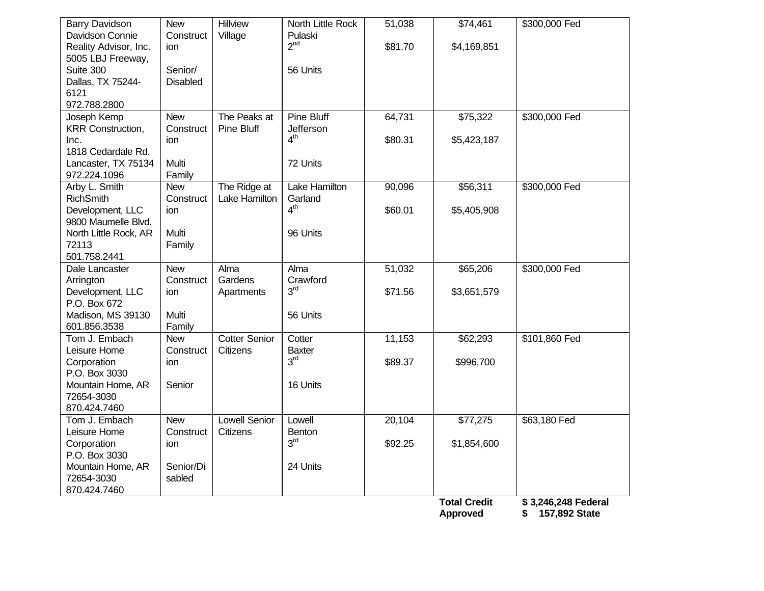| <b>Barry Davidson</b>    | <b>New</b>      | Hillview             | North Little Rock | 51,038  | \$74,461            | \$300,000 Fed       |
|--------------------------|-----------------|----------------------|-------------------|---------|---------------------|---------------------|
| Davidson Connie          | Construct       | Village              | Pulaski           |         |                     |                     |
| Reality Advisor, Inc.    | ion             |                      | 2 <sup>nd</sup>   | \$81.70 | \$4,169,851         |                     |
| 5005 LBJ Freeway,        |                 |                      |                   |         |                     |                     |
| Suite 300                | Senior/         |                      | 56 Units          |         |                     |                     |
| Dallas, TX 75244-        | <b>Disabled</b> |                      |                   |         |                     |                     |
| 6121                     |                 |                      |                   |         |                     |                     |
| 972.788.2800             |                 |                      |                   |         |                     |                     |
| Joseph Kemp              | <b>New</b>      | The Peaks at         | <b>Pine Bluff</b> | 64,731  | \$75,322            | \$300,000 Fed       |
| <b>KRR Construction,</b> | Construct       | Pine Bluff           | Jefferson         |         |                     |                     |
| Inc.                     | ion             |                      | 4 <sup>th</sup>   | \$80.31 | \$5,423,187         |                     |
| 1818 Cedardale Rd.       |                 |                      |                   |         |                     |                     |
| Lancaster, TX 75134      | Multi           |                      | 72 Units          |         |                     |                     |
| 972.224.1096             | Family          |                      |                   |         |                     |                     |
| Arby L. Smith            | <b>New</b>      | The Ridge at         | Lake Hamilton     | 90,096  | \$56,311            | \$300,000 Fed       |
| <b>RichSmith</b>         | Construct       | Lake Hamilton        | Garland           |         |                     |                     |
| Development, LLC         | ion             |                      | 4 <sup>th</sup>   | \$60.01 | \$5,405,908         |                     |
| 9800 Maumelle Blvd.      |                 |                      |                   |         |                     |                     |
| North Little Rock, AR    | Multi           |                      | 96 Units          |         |                     |                     |
| 72113                    | Family          |                      |                   |         |                     |                     |
| 501.758.2441             |                 |                      |                   |         |                     |                     |
| Dale Lancaster           | <b>New</b>      | Alma                 | Alma              | 51,032  | \$65,206            | \$300,000 Fed       |
| Arrington                | Construct       | Gardens              | Crawford          |         |                     |                     |
| Development, LLC         | ion             | Apartments           | 3 <sup>rd</sup>   | \$71.56 | \$3,651,579         |                     |
| P.O. Box 672             |                 |                      |                   |         |                     |                     |
| Madison, MS 39130        | Multi           |                      | 56 Units          |         |                     |                     |
| 601.856.3538             | Family          |                      |                   |         |                     |                     |
| Tom J. Embach            | <b>New</b>      | <b>Cotter Senior</b> | Cotter            | 11,153  | \$62,293            | \$101,860 Fed       |
| Leisure Home             | Construct       | Citizens             | <b>Baxter</b>     |         |                     |                     |
| Corporation              | ion             |                      | 3 <sup>rd</sup>   | \$89.37 | \$996,700           |                     |
| P.O. Box 3030            |                 |                      |                   |         |                     |                     |
| Mountain Home, AR        | Senior          |                      | 16 Units          |         |                     |                     |
| 72654-3030               |                 |                      |                   |         |                     |                     |
| 870.424.7460             |                 |                      |                   |         |                     |                     |
| Tom J. Embach            | <b>New</b>      | <b>Lowell Senior</b> | Lowell            | 20,104  | \$77,275            | \$63,180 Fed        |
| Leisure Home             | Construct       | Citizens             | <b>Benton</b>     |         |                     |                     |
| Corporation              | ion             |                      | 3 <sup>rd</sup>   | \$92.25 | \$1,854,600         |                     |
| P.O. Box 3030            |                 |                      |                   |         |                     |                     |
| Mountain Home, AR        | Senior/Di       |                      | 24 Units          |         |                     |                     |
| 72654-3030               | sabled          |                      |                   |         |                     |                     |
| 870.424.7460             |                 |                      |                   |         |                     |                     |
|                          |                 |                      |                   |         | <b>Total Credit</b> | \$3,246,248 Federal |
|                          |                 |                      |                   |         | <b>Approved</b>     | 157,892 State<br>\$ |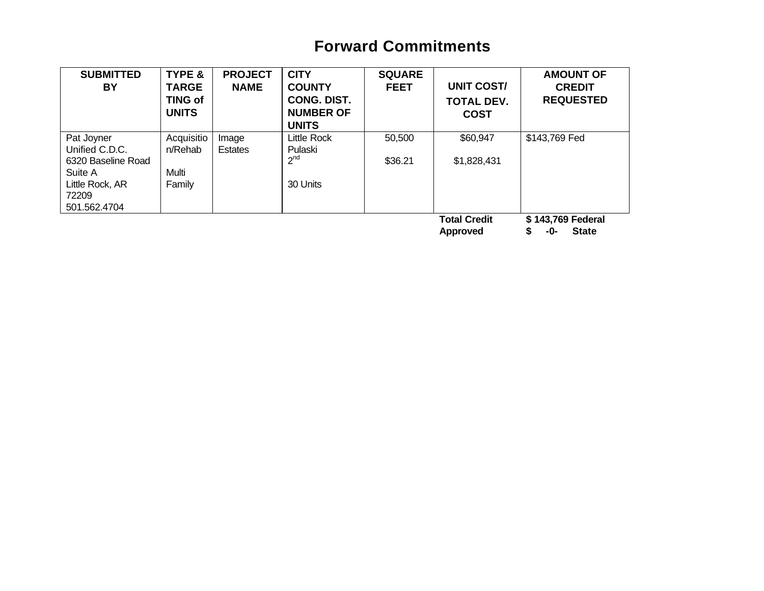# **Forward Commitments**

| <b>SUBMITTED</b><br>BY | <b>TYPE &amp;</b><br><b>TARGE</b><br><b>TING of</b><br><b>UNITS</b> | <b>PROJECT</b><br><b>NAME</b> | <b>CITY</b><br><b>COUNTY</b><br><b>CONG. DIST.</b><br><b>NUMBER OF</b><br><b>UNITS</b> | <b>SQUARE</b><br><b>FEET</b> | <b>UNIT COST/</b><br><b>TOTAL DEV.</b><br><b>COST</b> | <b>AMOUNT OF</b><br><b>CREDIT</b><br><b>REQUESTED</b> |
|------------------------|---------------------------------------------------------------------|-------------------------------|----------------------------------------------------------------------------------------|------------------------------|-------------------------------------------------------|-------------------------------------------------------|
| Pat Joyner             | Acquisitio                                                          | Image                         | Little Rock                                                                            | 50,500                       | \$60,947                                              | \$143,769 Fed                                         |
| Unified C.D.C.         | n/Rehab                                                             | <b>Estates</b>                | Pulaski                                                                                |                              |                                                       |                                                       |
| 6320 Baseline Road     |                                                                     |                               | 2 <sup>nd</sup>                                                                        | \$36.21                      | \$1,828,431                                           |                                                       |
| Suite A                | Multi                                                               |                               |                                                                                        |                              |                                                       |                                                       |
| Little Rock, AR        | Family                                                              |                               | 30 Units                                                                               |                              |                                                       |                                                       |
| 72209                  |                                                                     |                               |                                                                                        |                              |                                                       |                                                       |
| 501.562.4704           |                                                                     |                               |                                                                                        |                              |                                                       |                                                       |
|                        |                                                                     |                               |                                                                                        |                              | <b>Total Credit</b><br>Approved                       | \$143,769 Federal<br><b>State</b><br>-0-              |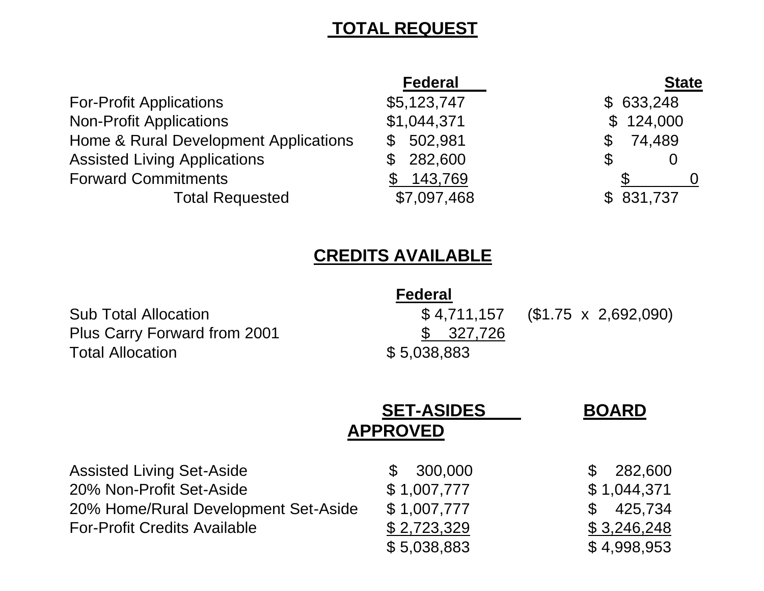# **TOTAL REQUEST**

|                                       | <b>Federal</b>          | <b>State</b>  |
|---------------------------------------|-------------------------|---------------|
| <b>For-Profit Applications</b>        | \$5,123,747             | \$633,248     |
| <b>Non-Profit Applications</b>        | \$1,044,371             | \$124,000     |
| Home & Rural Development Applications | 502,981<br>$\mathbb{S}$ | 74,489<br>\$. |
| <b>Assisted Living Applications</b>   | 282,600                 | S             |
| <b>Forward Commitments</b>            | 143,769                 |               |
| <b>Total Requested</b>                | \$7,097,468             | \$831,737     |

# **CREDITS AVAILABLE**

|                                     | <b>Federal</b> |                                   |
|-------------------------------------|----------------|-----------------------------------|
| <b>Sub Total Allocation</b>         |                | $$4,711,157$ (\$1.75 x 2,692,090) |
| <b>Plus Carry Forward from 2001</b> | \$ 327,726     |                                   |
| <b>Total Allocation</b>             | \$5,038,883    |                                   |

|                                      | <b>SET-ASIDES</b><br><b>APPROVED</b> | <b>BOARD</b> |
|--------------------------------------|--------------------------------------|--------------|
| <b>Assisted Living Set-Aside</b>     | 300,000                              | 282,600      |
| 20% Non-Profit Set-Aside             | \$1,007,777                          | \$1,044,371  |
| 20% Home/Rural Development Set-Aside | \$1,007,777                          | 425,734      |
| <b>For-Profit Credits Available</b>  | \$2,723,329                          | \$3,246,248  |
|                                      | \$5,038,883                          | \$4,998,953  |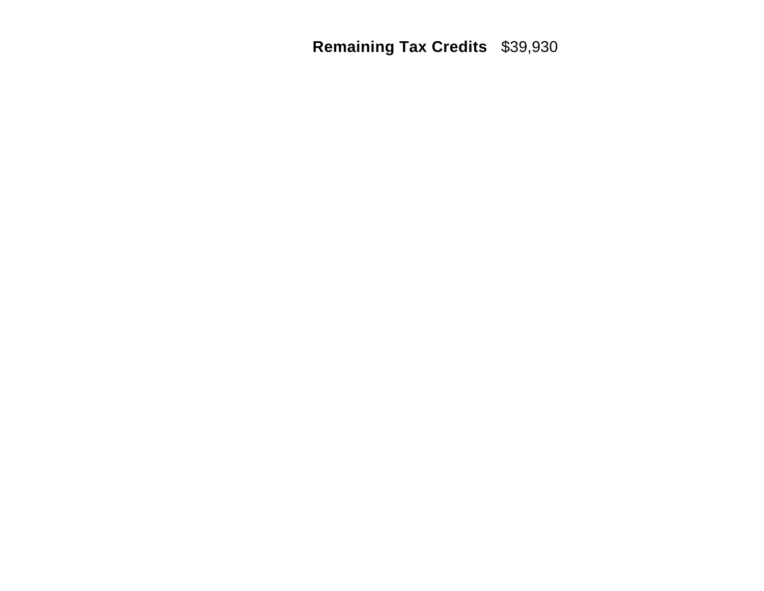**Remaining Tax Credits** \$39,930